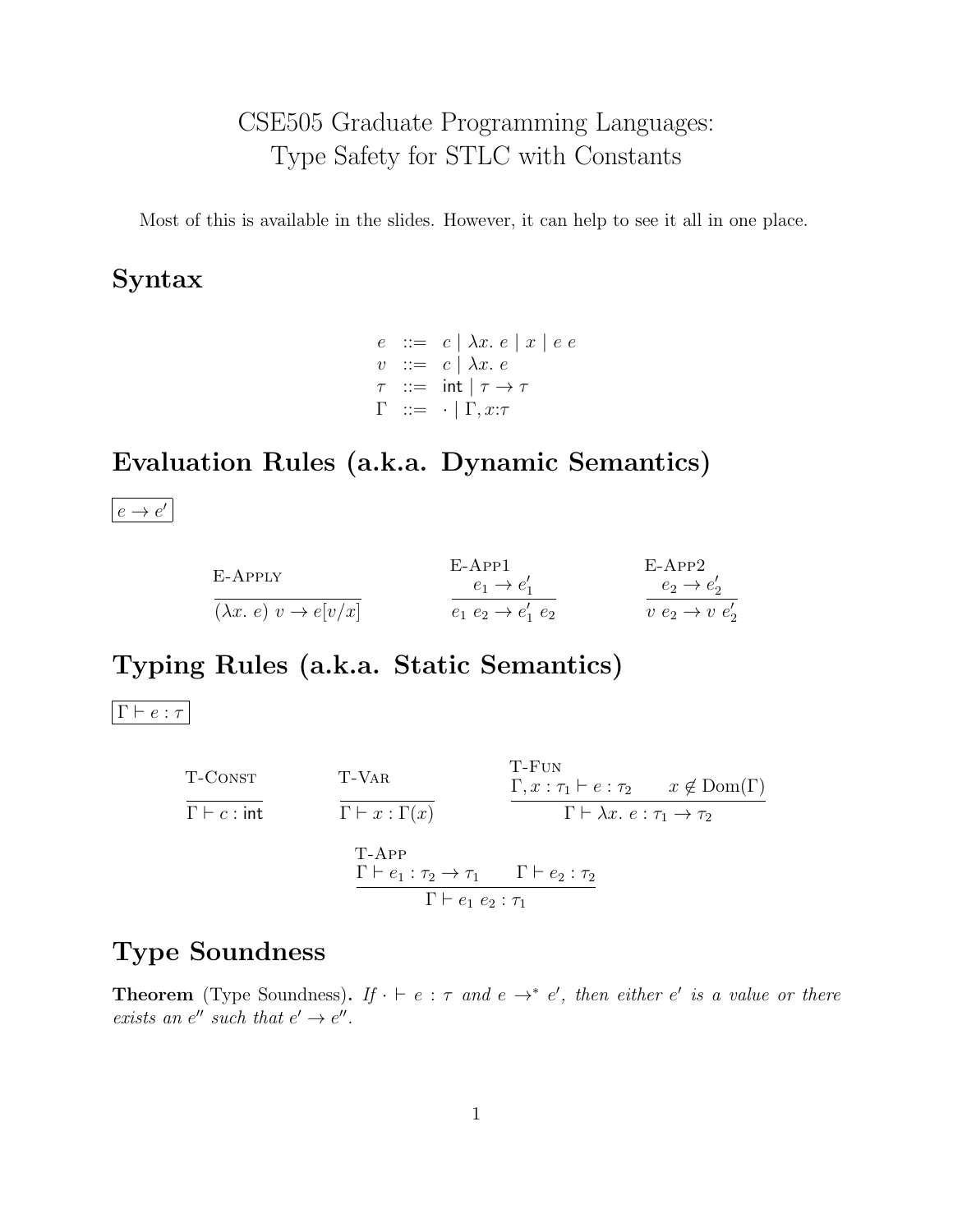# CSE505 Graduate Programming Languages: Type Safety for STLC with Constants

Most of this is available in the slides. However, it can help to see it all in one place.

## Syntax

 $e \ ::= c \mid \lambda x. e \mid x \mid e \ e$  $v$  ::=  $c \mid \lambda x. e$  $\tau$  ::= int  $|\tau \to \tau$  $\Gamma$  ::=  $\cdot$  |  $\Gamma, x:\tau$ 

## Evaluation Rules (a.k.a. Dynamic Semantics)

 $e \rightarrow e'$ 

| E-APPLY                               | $E-APP1$                       | $E-APP2$                   |
|---------------------------------------|--------------------------------|----------------------------|
|                                       | $e_1 \rightarrow e'_1$         | $e_2 \rightarrow e'_2$     |
| $(\lambda x. e) v \rightarrow e[v/x]$ | $e_1 e_2 \rightarrow e'_1 e_2$ | $v e_2 \rightarrow v e'_2$ |

### Typing Rules (a.k.a. Static Semantics)

 $\boxed{\Gamma \vdash e : \tau}$ 

T-CONST  
\nT-CONST  
\n
$$
\frac{T-VAR}{\Gamma \vdash c: \text{int}}
$$
\n
$$
\frac{\Gamma, x: \tau_1 \vdash e: \tau_2 \qquad x \notin \text{Dom}(\Gamma)}{\Gamma \vdash x: \Gamma(x)}
$$
\n
$$
\frac{\Gamma \vdash x: \Gamma(x)}{\Gamma \vdash x: \tau_1 \rightarrow \tau_2}
$$
\n
$$
\frac{\Gamma \vdash e_1: \tau_2 \rightarrow \tau_1 \qquad \Gamma \vdash e_2: \tau_2}{\Gamma \vdash e_1 e_2: \tau_1}
$$

#### Type Soundness

**Theorem** (Type Soundness). If  $\cdot \vdash e : \tau$  and  $e \rightarrow^* e'$ , then either e' is a value or there exists an  $e''$  such that  $e' \rightarrow e''$ .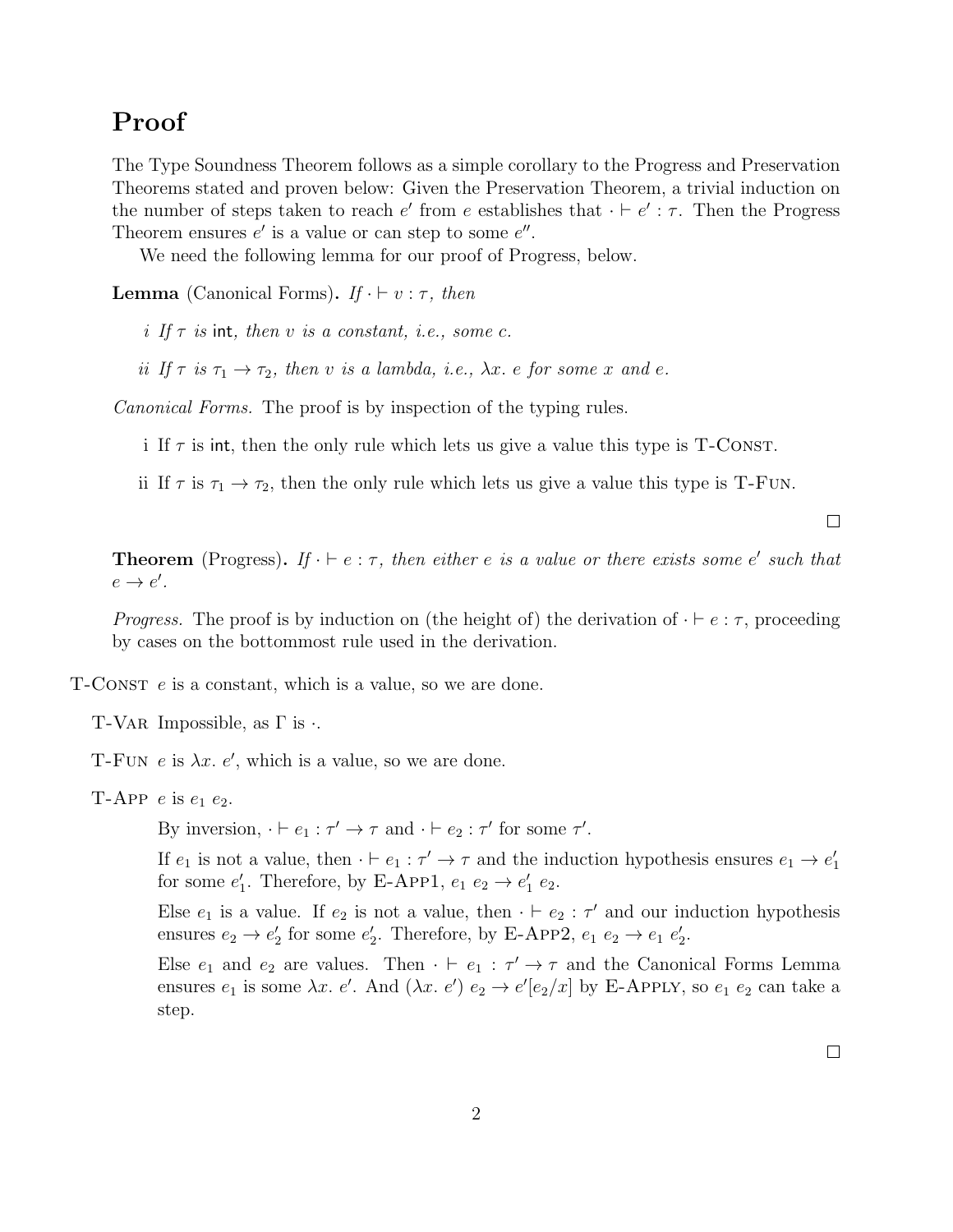#### Proof

The Type Soundness Theorem follows as a simple corollary to the Progress and Preservation Theorems stated and proven below: Given the Preservation Theorem, a trivial induction on the number of steps taken to reach  $e'$  from e establishes that  $\cdot \vdash e' : \tau$ . Then the Progress Theorem ensures  $e'$  is a value or can step to some  $e''$ .

We need the following lemma for our proof of Progress, below.

**Lemma** (Canonical Forms). If  $\cdot \vdash v : \tau$ , then

i If  $\tau$  is int, then v is a constant, i.e., some c.

ii If  $\tau$  is  $\tau_1 \to \tau_2$ , then v is a lambda, i.e.,  $\lambda x$ . e for some x and e.

Canonical Forms. The proof is by inspection of the typing rules.

i If  $\tau$  is int, then the only rule which lets us give a value this type is T-CONST.

ii If  $\tau$  is  $\tau_1 \to \tau_2$ , then the only rule which lets us give a value this type is T-Fun.

 $\Box$ 

**Theorem** (Progress). If  $\cdot \vdash e : \tau$ , then either e is a value or there exists some e' such that  $e \rightarrow e'$ .

*Progress.* The proof is by induction on (the height of) the derivation of  $\cdot \vdash e : \tau$ , proceeding by cases on the bottommost rule used in the derivation.

 $T$ -CONST  $e$  is a constant, which is a value, so we are done.

T-VAR Impossible, as  $\Gamma$  is  $\cdot$ .

T-FUN  $e$  is  $\lambda x. e'$ , which is a value, so we are done.

T-APP  $e$  is  $e_1$   $e_2$ .

By inversion,  $\cdot \vdash e_1 : \tau' \to \tau$  and  $\cdot \vdash e_2 : \tau'$  for some  $\tau'.$ 

If  $e_1$  is not a value, then  $\cdot \vdash e_1 : \tau' \to \tau$  and the induction hypothesis ensures  $e_1 \to e'_1$ for some  $e'_1$ . Therefore, by E-App1,  $e_1 e_2 \rightarrow e'_1 e_2$ .

Else  $e_1$  is a value. If  $e_2$  is not a value, then  $\cdot \vdash e_2 : \tau'$  and our induction hypothesis ensures  $e_2 \rightarrow e'_2$  for some  $e'_2$ . Therefore, by E-App2,  $e_1 e_2 \rightarrow e_1 e'_2$ .

Else  $e_1$  and  $e_2$  are values. Then  $\cdot \vdash e_1 : \tau' \rightarrow \tau$  and the Canonical Forms Lemma ensures  $e_1$  is some  $\lambda x$ . e'. And  $(\lambda x. e')$   $e_2 \to e'[e_2/x]$  by E-Apply, so  $e_1$   $e_2$  can take a step.

 $\Box$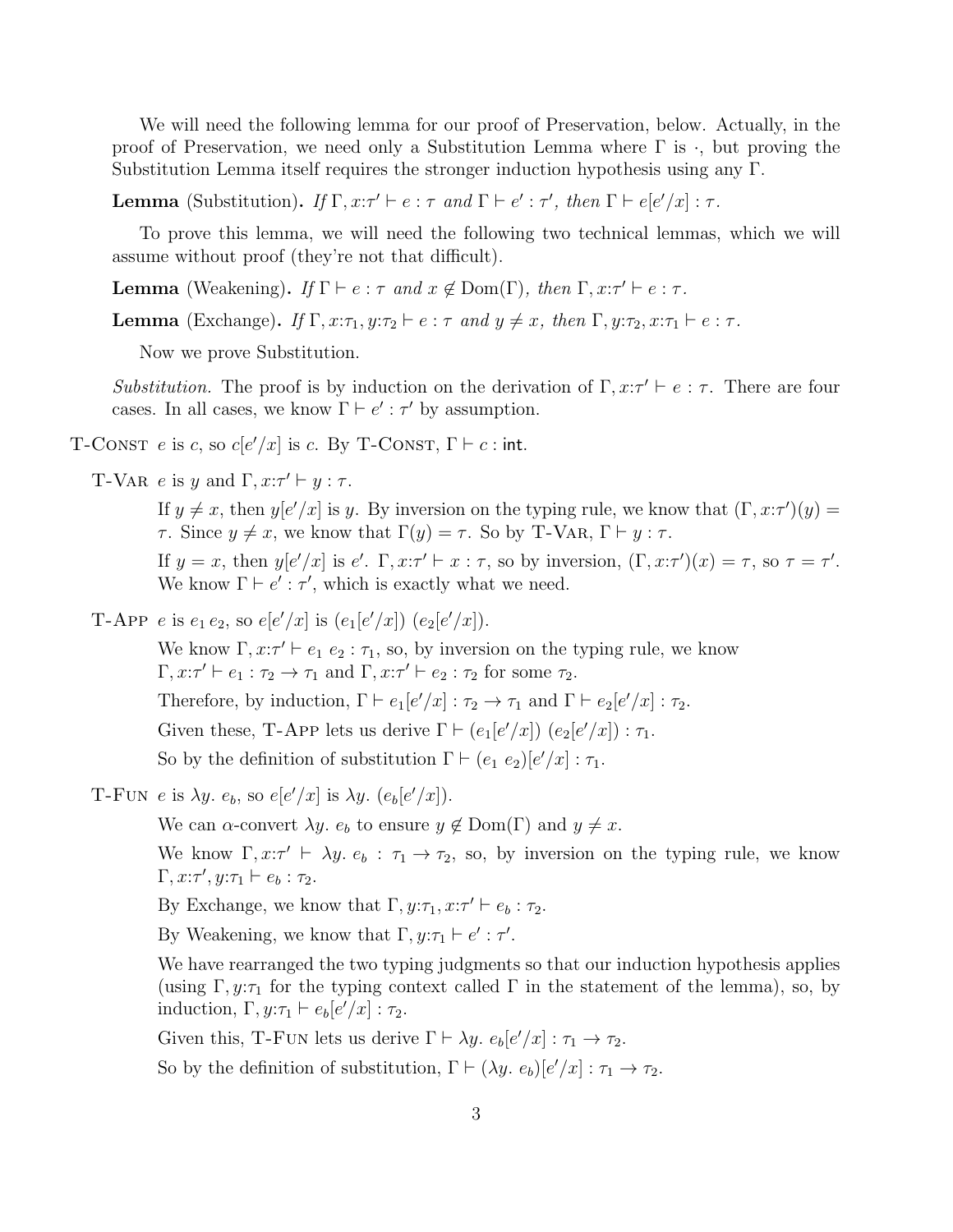We will need the following lemma for our proof of Preservation, below. Actually, in the proof of Preservation, we need only a Substitution Lemma where  $\Gamma$  is  $\cdot$ , but proving the Substitution Lemma itself requires the stronger induction hypothesis using any Γ.

**Lemma** (Substitution). If  $\Gamma, x : \tau' \vdash e : \tau$  and  $\Gamma \vdash e' : \tau'$ , then  $\Gamma \vdash e[e'/x] : \tau$ .

To prove this lemma, we will need the following two technical lemmas, which we will assume without proof (they're not that difficult).

**Lemma** (Weakening). If  $\Gamma \vdash e : \tau$  and  $x \notin \text{Dom}(\Gamma)$ , then  $\Gamma, x : \tau' \vdash e : \tau$ .

**Lemma** (Exchange). If  $\Gamma$ ,  $x:\tau_1, y:\tau_2 \vdash e : \tau$  and  $y \neq x$ , then  $\Gamma$ ,  $y:\tau_2, x:\tau_1 \vdash e : \tau$ .

Now we prove Substitution.

Substitution. The proof is by induction on the derivation of  $\Gamma, x : \tau' \vdash e : \tau$ . There are four cases. In all cases, we know  $\Gamma \vdash e' : \tau'$  by assumption.

T-CONST e is c, so  $c[e'/x]$  is c. By T-CONST,  $\Gamma \vdash c$ : int.

T-VAR e is y and  $\Gamma, x:\tau' \vdash y : \tau$ .

If  $y \neq x$ , then  $y[e'/x]$  is y. By inversion on the typing rule, we know that  $(\Gamma, x:\tau')(y) =$ τ. Since  $y \neq x$ , we know that  $\Gamma(y) = \tau$ . So by T-VAR,  $\Gamma \vdash y : \tau$ .

If  $y = x$ , then  $y[e'/x]$  is  $e'$ .  $\Gamma, x:\tau' \vdash x : \tau$ , so by inversion,  $(\Gamma, x:\tau')(x) = \tau$ , so  $\tau = \tau'$ . We know  $\Gamma \vdash e' : \tau'$ , which is exactly what we need.

T-APP e is  $e_1 e_2$ , so  $e[e'/x]$  is  $(e_1[e'/x]) (e_2[e'/x])$ .

We know  $\Gamma, x:\tau' \vdash e_1 \ e_2 : \tau_1$ , so, by inversion on the typing rule, we know  $\Gamma, x:\tau' \vdash e_1 : \tau_2 \to \tau_1 \text{ and } \Gamma, x:\tau' \vdash e_2 : \tau_2 \text{ for some } \tau_2.$ Therefore, by induction,  $\Gamma \vdash e_1[e'/x] : \tau_2 \to \tau_1$  and  $\Gamma \vdash e_2[e'/x] : \tau_2$ . Given these, T-App lets us derive  $\Gamma \vdash (e_1[e'/x]) (e_2[e'/x]) : \tau_1$ . So by the definition of substitution  $\Gamma \vdash (e_1 \ e_2)[e'/x] : \tau_1$ .

T-FUN e is  $\lambda y$ .  $e_b$ , so  $e[e'/x]$  is  $\lambda y$ .  $(e_b[e'/x])$ .

We can  $\alpha$ -convert  $\lambda y$ .  $e_b$  to ensure  $y \notin \text{Dom}(\Gamma)$  and  $y \neq x$ .

We know  $\Gamma, x : \tau' \vdash \lambda y. e_b : \tau_1 \rightarrow \tau_2$ , so, by inversion on the typing rule, we know  $\Gamma, x:\tau', y:\tau_1 \vdash e_b : \tau_2.$ 

By Exchange, we know that  $\Gamma, y:\tau_1, x:\tau' \vdash e_b : \tau_2$ .

By Weakening, we know that  $\Gamma, y:\tau_1 \vdash e': \tau'.$ 

We have rearranged the two typing judgments so that our induction hypothesis applies (using Γ, y: $\tau_1$  for the typing context called Γ in the statement of the lemma), so, by induction,  $\Gamma, y:\tau_1 \vdash e_b[e'/x]: \tau_2$ .

Given this, T-FUN lets us derive  $\Gamma \vdash \lambda y$ .  $e_b[e'/x] : \tau_1 \to \tau_2$ .

So by the definition of substitution,  $\Gamma \vdash (\lambda y. e_b)[e'/x] : \tau_1 \to \tau_2$ .